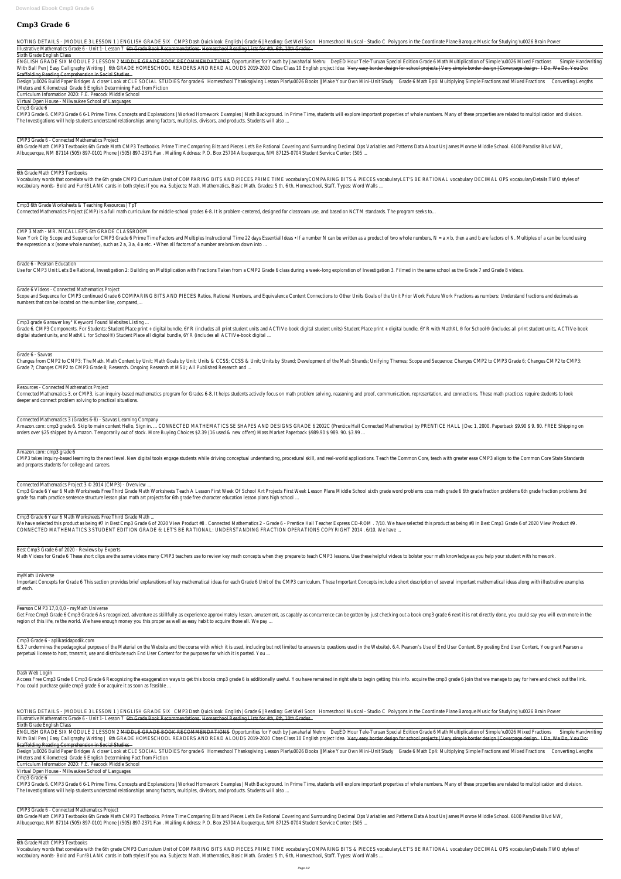# **Cmp3 Grade 6**

NOTING DETAILS - (MODULE 3 LESSON 1) ENGLISH GRADE SIX CMP3 Dash Quickloo English | Grade 6 | Reading: Get Well Solomeschool Musical - Studio Polygons in the Coordinate Plane Baroque Music for Studying \u0026 Brain Po Illustrative Mathematics Grade 6 - Unit 1- LessbrGlade Book Recommendatiblesneschool Reading Lists for 4th, 6th, 10th Grad

Sixth Grade English Class

ENGLISH GRADE SIX MODULE 2 LESSON 2 MIDDLE GRADE BOOK RECOMMENDATIONS - Opportunities for Youth by Jawaharlal NerapeD Hour Tele-Turuan Special Edition Grade 6 Math Multiplication of Simple \uOO26 Mixed SimpteoHandwriting With Ball Pen | Easy Calligraphy Writingth GRADE HOMESCHOOL READERS AND READ ALOUDS 2019-2020Cbse Class 10 English project Ibleay easy border design for school projects | Very simple border design | CoverDageWesDan You Do Scaffolding Reading Comprehension in Social Studie

Design \uOO26 Build Paper Bridgelsser Look at CLE SOCIAL STUDIES for gradeHomeschool Thanksgiving Lesson Plan\uOO26 Books || Make Your Own Mini-U itadetuld Math Ep4: Multiplying Simple Fractions and Mixed Fractions (Length (Meters and Kilometres)ade 6 English Determining Fact from Fiction

Curriculum Information 2020: F.E. Peacock Middle Scho

Virtual Open House - Milwaukee School of Language

Cmp3 Grade 6

CMP3 Grade 6. CMP3 Grade 6 6-1 Prime Time. Concepts and Explanations | Worked Homework Examples | Math Background. In Prime Time, students will explore important properties of whole numbers. Many of these properties are re The Investigations will help students understand relationships among factors, multiples, divisors, and products. Students will a

CMP3 Grade 6 - Connected Mathematics Proje

6th Grade Math CMP3 Textbooks 6th Grade Math CMP3 Textbooks. Prime Time Comparing Bits and Pieces Let's Be Rational Covering and Surrounding Decimal Ops Variables and Patterns Data About Us James Monroe Middle School. 6100 Albuquerque, NM 87114 (505) 897-0101 Phone | (505) 897-2371 Fax . Mailing Address: P.O. Box 25704 Albuquerque, NM 87125-0704 Student Service Center

6th Grade Math CMP3 Textbook

Vocabulary words that correlate with the 6th grade CMP3 Curriculum Unit of COMPARING BITS AND PIECES.PRIME TIME vocabularyCOMPARING BITS & PIECES vocabularyLET'S BE RATIONAL vocabulary DECIMAL OPS vocabularyDetails:TV vocabulary words- Bold and Fun!BLANK cards in both styles if you wa. Subjects: Math, Mathematics, Basic Math. Grades: 5 th, 6 th, Homeschool, Staff. Types: Word

Cmp3 6th Grade Worksheets & Teaching Resources | T

Connected Mathematics Project (CMP) is a full math curriculum for middle-school grades 6-8. It is problem-centered, designed for classroom use, and based on NCTM standards. The program s

CMP 3 Math - MR. MICALLEF'S 6th GRADE CLASSRO

New York City Scope and Sequence for CMP3 Grade 6 Prime Time Factors and Multiples Instructional Time 22 days Essential Ideas • If a number N can be written as a product of two whole numbers, N = a × b, then a and b are fa the expression a  $\times$  (some whole number), such as 2 a, 3 a, 4 a etc. • When all factors of a number are broken down i

Grade 6 - Pearson Education

Use for CMP3 Unit Let's Be Rational, Investigation 2: Building on Multiplication with Fractions Taken from a CMP2 Grade 6 class during a week-long exploration of Investigation 3. Filmed in the same school as the Grade 7 an

Grade 6 Videos - Connected Mathematics Proje

Scope and Sequence for CMP3 continued Grade 6 COMPARING BITS AND PIECES Ratios, Rational Numbers, and Equivalence Content Connections to Other Units Goals of the Unit Prior Work Future Work Fractions as numbers: Understand numbers that can be located on the number line, compared

Cmp3 grade 6 answer key" Keyword Found Websites Listing

Grade 6. CMP3 Components. For Students: Student Place print + digital bundle, 6YR (includes all print student units and ACTIVe-book digital student units) Student Place print + digital bundle, 6YR with MathXL® for School® digital student units, and MathXL for School®) Student Place all digital bundle, 6YR (includes all ACTIVe-book dig

Important Concepts for Grade 6 This section provides brief explanations of key mathematical ideas for each Grade 6 Unit of the CMP3 curriculum. These Important Concepts include a short description of several important math of each.

# Pearson CMP3 17, 0, 0, 0 - myMath Univers

Get Free Cmp3 Grade 6 Cmp3 Grade 6 As recognized, adventure as skillfully as experience approximately lesson, amusement, as capably as concurrence can be gotten by just checking out a book cmp3 grade 6 next it is not direc region of this life, re the world. We have enough money you this proper as well as easy habit to acquire those all. We

Cmp3 Grade 6 - aplikasidapodik.com

6.3.7 undermines the pedagogical purpose of the Material on the Website and the course with which it is used, including but not limited to answers to questions used in the Website). 6.4. Pearson's Use of End User Content. perpetual license to host, transmit, use and distribute such End User Content for the purposes for which it is posted.

#### Dash Web Logir

Access Free Cmp3 Grade 6 Cmp3 Grade 6 Recognizing the exaggeration ways to get this books cmp3 grade 6 is additionally useful. You have remained in right site to begin getting this info. acquire the cmp3 grade 6 join that You could purchase guide cmp3 grade 6 or acquire it as soon as feasible

NOTING DETAILS - (MODULE 3 LESSON 1) ENGLISH GRADE SIX CMP3 Dash Quickloo English | Grade 6 | Reading: Get Well Soomeschool Musical - Studio Polygons in the Coordinate Plane Baroque Music for Studying \uOO26 Brain Po

Illustrative Mathematics Grade 6 - Unit 1- LessbrGlade Book Recommendatibles meschool Reading Lists for 4th, 6th, 10th Grad

### Sixth Grade English Class

ENGLISH GRADE SIX MODULE 2 LESSON 2 MIDDLE GRADE BOOK RECOMMENDATIONS - Opportunities for Youth by Jawaharlal Nere De-Turuan Special Edition Grade 6 Math Multiplication of Simple \uOO26 Mixed SimpteoMandwriting With Ball Pen | Easy Calligraphy Writingth GRADE HOMESCHOOL READERS AND READ ALOUDS 2019-2020Cbse Class 10 English project Ibleay easy border design for school projects | Very simple border design | Coverpane Weston You Do Scaffolding Reading Comprehension in Social Studie

Design \uOO26 Build Paper Bridgelsser Look at CLE SOCIAL STUDIES for gradeHomeschool Thanksgiving Lesson Plan\uOO26 Books || Make Your Own Mini-UGitaGeudwath Ep4: Multiplying Simple Fractions and Mixed Fractions Lengths (Meters and Kilometres)ade 6 English Determining Fact from Fiction

Curriculum Information 2020: F.E. Peacock Middle Scho

Virtual Open House - Milwaukee School of Languag

#### Grade 6 - Savvas

Changes from CMP2 to CMP3; The Math. Math Content by Unit; Math Goals by Unit; Units & CCSS; CCSS & Unit; Units by Strand; Development of the Math Strands; Unifying Themes; Scope and Sequence; Changes CMP2 to CMP3 Grade 6; Grade 7; Changes CMP2 to CMP3 Grade 8; Research. Ongoing Research at MSU; All Published Research and ...

### Resources - Connected Mathematics Proje

Connected Mathematics 3, or CMP3, is an inquiry-based mathematics program for Grades 6-8. It helps students actively focus on math problem solving, reasoning and proof, communication, representation, and connections. These deeper and connect problem solving to practical situations.

Connected Mathematics 3 (Grades 6-8) - Savvas Learning Compa Amazon.com: cmp3 grade 6. Skip to main content Hello, Sign in. ... CONNECTED MATHEMATICS SE SHAPES AND DESIGNS GRADE 6 2002C (Prentice Hall Connected Mathematics) by PRENTICE HALL | Dec 1, 2000. Paperback \$9.90 \$ 9. 90. FR orders over \$25 shipped by Amazon. Temporarily out of stock. More Buying Choices \$2.39 (16 used & new offers) Mass Market Paperback \$989.90 \$989. 90.

### Amazon.com: cmp3 grade 6

CMP3 takes inquiry-based learning to the next level. New digital tools engage students while driving conceptual understanding, procedural skill, and real-world applications. Teach the Common Core, teach with greater ease C and prepares students for college and career

Connected Mathematics Project  $3 \circ 2014$  (CMP3) - Overview

Cmp3 Grade 6 Year 6 Math Worksheets Free Third Grade Math Worksheets Teach A Lesson First Week Of School Art Projects First Week Lesson Plans Middle School sixth grade word problems ccss math grade 6 6th grade fraction pro grade fsa math practice sentence structure lesson plan math art projects for 6th grade free character education lesson plans high sc

Cmp3 Grade 6 Year 6 Math Worksheets Free Third Grade Matl

We have selected this product as being #7 in Best Cmp3 Grade 6 of 2020 View Product #8. Connected Mathematics 2 - Grade 6 - Prentice Hall Teacher Express CD-ROM. 7/10. We have selected this product as being #8 in Best Cmp3 CONNECTED MATHEMATICS 3 STUDENT EDITION GRADE 6: LET'S BE RATIONAL: UNDERSTANDING FRACTION OPERATIONS COPYRIGHT 2014 . 6/10. We

### Best Cmp3 Grade 6 of 2020 - Reviews by Exper

Math Videos for Grade 6 These short clips are the same videos many CMP3 teachers use to review key math concepts when they prepare to teach CMP3 lessons. Use these helpful videos to bolster your math knowledge as you help

### myMath Universe

### Cmp3 Grade 6

CMP3 Grade 6. CMP3 Grade 6 6-1 Prime Time. Concepts and Explanations | Worked Homework Examples | Math Background. In Prime Time, students will explore important properties of whole numbers. Many of these properties are re The Investigations will help students understand relationships among factors, multiples, divisors, and products. Students will

CMP3 Grade 6 - Connected Mathematics Proje 6th Grade Math CMP3 Textbooks 6th Grade Math CMP3 Textbooks. Prime Time Comparing Bits and Pieces Let's Be Rational Covering and Surrounding Decimal Ops Variables and Patterns Data About Us James Monroe Middle School. 6100 Albuquerque, NM 87114 (505) 897-0101 Phone | (505) 897-2371 Fax . Mailing Address: P.O. Box 25704 Albuquerque, NM 87125-0704 Student Service Center

6th Grade Math CMP3 Textbook

Vocabulary words that correlate with the 6th grade CMP3 Curriculum Unit of COMPARING BITS AND PIECES.PRIME TIME vocabularyCOMPARING BITS & PIECES vocabularyLET'S BE RATIONAL vocabulary DECIMAL OPS vocabularyDetails:T\ vocabulary words- Bold and Fun!BLANK cards in both styles if you wa. Subjects: Math, Mathematics, Basic Math. Grades: 5 th, 6 th, Homeschool, Staff. Types: Word